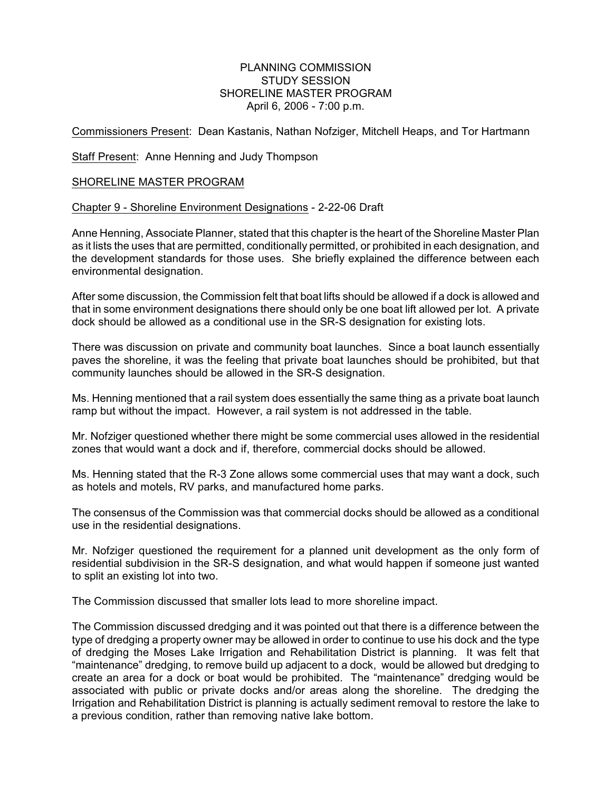## PLANNING COMMISSION STUDY SESSION SHORELINE MASTER PROGRAM April 6, 2006 - 7:00 p.m.

Commissioners Present: Dean Kastanis, Nathan Nofziger, Mitchell Heaps, and Tor Hartmann

Staff Present: Anne Henning and Judy Thompson

## SHORELINE MASTER PROGRAM

## Chapter 9 - Shoreline Environment Designations - 2-22-06 Draft

Anne Henning, Associate Planner, stated that this chapter is the heart of the Shoreline Master Plan as it lists the uses that are permitted, conditionally permitted, or prohibited in each designation, and the development standards for those uses. She briefly explained the difference between each environmental designation.

After some discussion, the Commission felt that boat lifts should be allowed if a dock is allowed and that in some environment designations there should only be one boat lift allowed per lot. A private dock should be allowed as a conditional use in the SR-S designation for existing lots.

There was discussion on private and community boat launches. Since a boat launch essentially paves the shoreline, it was the feeling that private boat launches should be prohibited, but that community launches should be allowed in the SR-S designation.

Ms. Henning mentioned that a rail system does essentially the same thing as a private boat launch ramp but without the impact. However, a rail system is not addressed in the table.

Mr. Nofziger questioned whether there might be some commercial uses allowed in the residential zones that would want a dock and if, therefore, commercial docks should be allowed.

Ms. Henning stated that the R-3 Zone allows some commercial uses that may want a dock, such as hotels and motels, RV parks, and manufactured home parks.

The consensus of the Commission was that commercial docks should be allowed as a conditional use in the residential designations.

Mr. Nofziger questioned the requirement for a planned unit development as the only form of residential subdivision in the SR-S designation, and what would happen if someone just wanted to split an existing lot into two.

The Commission discussed that smaller lots lead to more shoreline impact.

The Commission discussed dredging and it was pointed out that there is a difference between the type of dredging a property owner may be allowed in order to continue to use his dock and the type of dredging the Moses Lake Irrigation and Rehabilitation District is planning. It was felt that "maintenance" dredging, to remove build up adjacent to a dock, would be allowed but dredging to create an area for a dock or boat would be prohibited. The "maintenance" dredging would be associated with public or private docks and/or areas along the shoreline. The dredging the Irrigation and Rehabilitation District is planning is actually sediment removal to restore the lake to a previous condition, rather than removing native lake bottom.